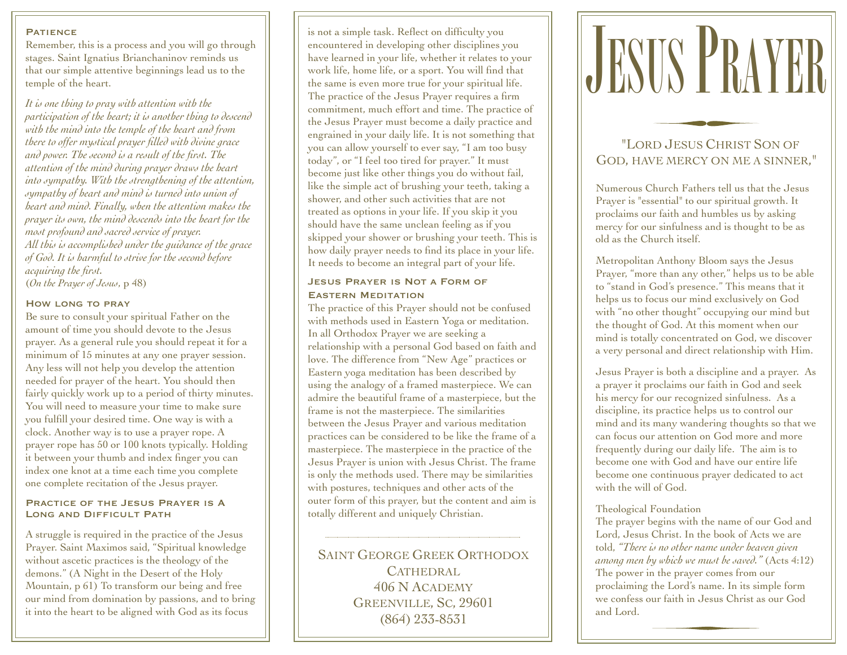#### **PATIENCE**

Remember, this is a process and you will go through stages. Saint Ignatius Brianchaninov reminds us that our simple attentive beginnings lead us to the temple of the heart.

*It is one thing to pray with attention with the participation of the heart; it is another thing to descend with the mind into the temple of the heart and from there to offer mystical prayer filled with divine grace and power. The second is a result of the first. The attention of the mind during prayer draws the heart into sympathy. With the strengthening of the attention, sympathy of heart and mind is turned into union of heart and mind. Finally, when the attention makes the prayer its own, the mind descends into the heart for the most profound and sacred service of prayer. All this is accomplished under the guidance of the grace of God. It is harmful to strive for the second before acquiring the first.* (*On the Prayer of Jesus*, p 48)

#### How long to pray

Be sure to consult your spiritual Father on the amount of time you should devote to the Jesus prayer. As a general rule you should repeat it for a minimum of 15 minutes at any one prayer session. Any less will not help you develop the attention needed for prayer of the heart. You should then fairly quickly work up to a period of thirty minutes. You will need to measure your time to make sure you fulfill your desired time. One way is with a clock. Another way is to use a prayer rope. A prayer rope has 50 or 100 knots typically. Holding it between your thumb and index finger you can index one knot at a time each time you complete one complete recitation of the Jesus prayer.

## Practice of the Jesus Prayer is A Long and Difficult Path

A struggle is required in the practice of the Jesus Prayer. Saint Maximos said, "Spiritual knowledge without ascetic practices is the theology of the demons." (A Night in the Desert of the Holy Mountain, p 61) To transform our being and free our mind from domination by passions, and to bring it into the heart to be aligned with God as its focus

is not a simple task. Reflect on difficulty you encountered in developing other disciplines you have learned in your life, whether it relates to your work life, home life, or a sport. You will find that the same is even more true for your spiritual life. The practice of the Jesus Prayer requires a firm commitment, much effort and time. The practice of the Jesus Prayer must become a daily practice and engrained in your daily life. It is not something that you can allow yourself to ever say, "I am too busy today", or "I feel too tired for prayer." It must become just like other things you do without fail, like the simple act of brushing your teeth, taking a shower, and other such activities that are not treated as options in your life. If you skip it you should have the same unclean feeling as if you skipped your shower or brushing your teeth. This is how daily prayer needs to find its place in your life. It needs to become an integral part of your life.

## Jesus Prayer is Not a Form of Eastern Meditation

The practice of this Prayer should not be confused with methods used in Eastern Yoga or meditation. In all Orthodox Prayer we are seeking a relationship with a personal God based on faith and love. The difference from "New Age" practices or Eastern yoga meditation has been described by using the analogy of a framed masterpiece. We can admire the beautiful frame of a masterpiece, but the frame is not the masterpiece. The similarities between the Jesus Prayer and various meditation practices can be considered to be like the frame of a masterpiece. The masterpiece in the practice of the Jesus Prayer is union with Jesus Christ. The frame is only the methods used. There may be similarities with postures, techniques and other acts of the outer form of this prayer, but the content and aim is totally different and uniquely Christian.

SAINT GEORGE GREEK ORTHODOX CATHEDRAL 406 N ACADEMY GREENVILLE, SC, 29601 (864) 233-8531



# "LORD JESUS CHRIST SON OF GOD, HAVE MERCY ON ME A SINNER,"

Numerous Church Fathers tell us that the Jesus Prayer is "essential" to our spiritual growth. It proclaims our faith and humbles us by asking mercy for our sinfulness and is thought to be as old as the Church itself.

Metropolitan Anthony Bloom says the Jesus Prayer, "more than any other," helps us to be able to "stand in God's presence." This means that it helps us to focus our mind exclusively on God with "no other thought" occupying our mind but the thought of God. At this moment when our mind is totally concentrated on God, we discover a very personal and direct relationship with Him.

Jesus Prayer is both a discipline and a prayer. As a prayer it proclaims our faith in God and seek his mercy for our recognized sinfulness. As a discipline, its practice helps us to control our mind and its many wandering thoughts so that we can focus our attention on God more and more frequently during our daily life. The aim is to become one with God and have our entire life become one continuous prayer dedicated to act with the will of God.

#### Theological Foundation

The prayer begins with the name of our God and Lord, Jesus Christ. In the book of Acts we are told, *"There is no other name under heaven given among men by which we must be saved."* (Acts 4:12) The power in the prayer comes from our proclaiming the Lord's name. In its simple form we confess our faith in Jesus Christ as our God and Lord.